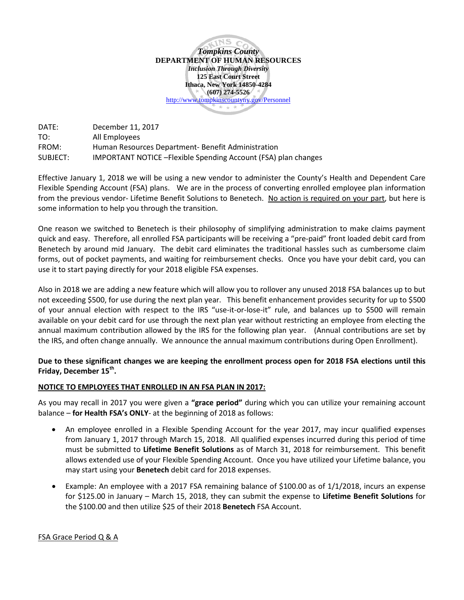**INS** *Tompkins County* **DEPARTMENT OF HUMAN RESOURCES** *Inclusion Through Diversity* **125 East Court Street Ithaca, New York 14850-4284 (607) 274-5526**  <http://www.tompkinscountyny.gov/Personnel>\* \* \*

DATE: December 11, 2017 TO: All Employees FROM: Human Resources Department- Benefit Administration SUBJECT: IMPORTANT NOTICE –Flexible Spending Account (FSA) plan changes

Effective January 1, 2018 we will be using a new vendor to administer the County's Health and Dependent Care Flexible Spending Account (FSA) plans. We are in the process of converting enrolled employee plan information from the previous vendor- Lifetime Benefit Solutions to Benetech. No action is required on your part, but here is some information to help you through the transition.

One reason we switched to Benetech is their philosophy of simplifying administration to make claims payment quick and easy. Therefore, all enrolled FSA participants will be receiving a "pre-paid" front loaded debit card from Benetech by around mid January. The debit card eliminates the traditional hassles such as cumbersome claim forms, out of pocket payments, and waiting for reimbursement checks. Once you have your debit card, you can use it to start paying directly for your 2018 eligible FSA expenses.

Also in 2018 we are adding a new feature which will allow you to rollover any unused 2018 FSA balances up to but not exceeding \$500, for use during the next plan year. This benefit enhancement provides security for up to \$500 of your annual election with respect to the IRS "use-it-or-lose-it" rule, and balances up to \$500 will remain available on your debit card for use through the next plan year without restricting an employee from electing the annual maximum contribution allowed by the IRS for the following plan year. (Annual contributions are set by the IRS, and often change annually. We announce the annual maximum contributions during Open Enrollment).

# **Due to these significant changes we are keeping the enrollment process open for 2018 FSA elections until this Friday, December 15th.**

# **NOTICE TO EMPLOYEES THAT ENROLLED IN AN FSA PLAN IN 2017:**

As you may recall in 2017 you were given a **"grace period"** during which you can utilize your remaining account balance – **for Health FSA's ONLY**- at the beginning of 2018 as follows:

- An employee enrolled in a Flexible Spending Account for the year 2017, may incur qualified expenses from January 1, 2017 through March 15, 2018. All qualified expenses incurred during this period of time must be submitted to **Lifetime Benefit Solutions** as of March 31, 2018 for reimbursement. This benefit allows extended use of your Flexible Spending Account. Once you have utilized your Lifetime balance, you may start using your **Benetech** debit card for 2018 expenses.
- Example: An employee with a 2017 FSA remaining balance of \$100.00 as of 1/1/2018, incurs an expense for \$125.00 in January – March 15, 2018, they can submit the expense to **Lifetime Benefit Solutions** for the \$100.00 and then utilize \$25 of their 2018 **Benetech** FSA Account.

FSA Grace Period Q & A